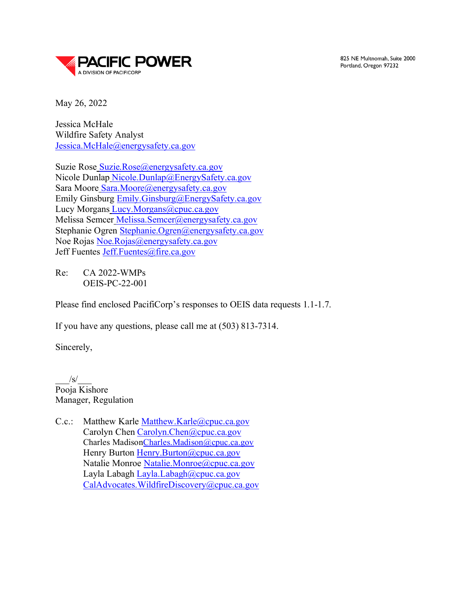

825 NE Multnomah, Suite 2000 Portland, Oregon 97232

May 26, 2022

Jessica McHale Wildfire Safety Analyst [Jessica.McHale@energysafety.ca.gov](mailto:Jessica.McHale@energysafety.ca.gov)

Suzie Rose [Suzie.Rose@energysafety.ca.gov](mailto:Suzie.Rose@energysafety.ca.gov) Nicole Dunlap [Nicole.Dunlap@EnergySafety.ca.gov](mailto:Nicole.Dunlap@EnergySafety.ca.gov) Sara Moore [Sara.Moore@energysafety.ca.gov](mailto:Sara.Moore@energysafety.ca.gov) Emily Ginsburg [Emily.Ginsburg@EnergySafety.ca.gov](mailto:Emily.Ginsburg@EnergySafety.ca.gov) Lucy Morgans [Lucy.Morgans@cpuc.ca.gov](mailto:Lucy.Morgans@cpuc.ca.gov) Melissa Semcer [Melissa.Semcer@energysafety.ca.gov](mailto:Melissa.Semcer@energysafety.ca.gov) Stephanie Ogren [Stephanie.Ogren@energysafety.ca.gov](mailto:Stephanie.Ogren@energysafety.ca.gov) Noe Rojas [Noe.Rojas@energysafety.ca.gov](mailto:Noe.Rojas@energysafety.ca.gov) Jeff Fuentes [Jeff.Fuentes@fire.ca.gov](mailto:Jeff.Fuentes@fire.ca.gov)

Re: CA 2022-WMPs OEIS-PC-22-001

Please find enclosed PacifiCorp's responses to OEIS data requests 1.1-1.7.

If you have any questions, please call me at (503) 813-7314.

Sincerely,

 $/s/$ Pooja Kishore Manager, Regulation

C.c.: Matthew Karle [Matthew.Karle@cpuc.ca.gov](mailto:Matthew.Karle@cpuc.ca.gov) Carolyn Chen [Carolyn.Chen@cpuc.ca.gov](mailto:Carolyn.Chen@cpuc.ca.gov) Charles Madiso[nCharles.Madison@cpuc.ca.gov](mailto:Charles.Madison@cpuc.ca.gov) Henry Burton [Henry.Burton@cpuc.ca.gov](mailto:Henry.Burton@cpuc.ca.gov) Natalie Monroe [Natalie.Monroe@cpuc.ca.gov](mailto:Natalie.Monroe@cpuc.ca.gov) Layla Labagh [Layla.Labagh@cpuc.ca.gov](mailto:Layla.Labagh@cpuc.ca.gov) [CalAdvocates.WildfireDiscovery@cpuc.ca.gov](mailto:CalAdvocates.WildfireDiscovery@cpuc.ca.gov)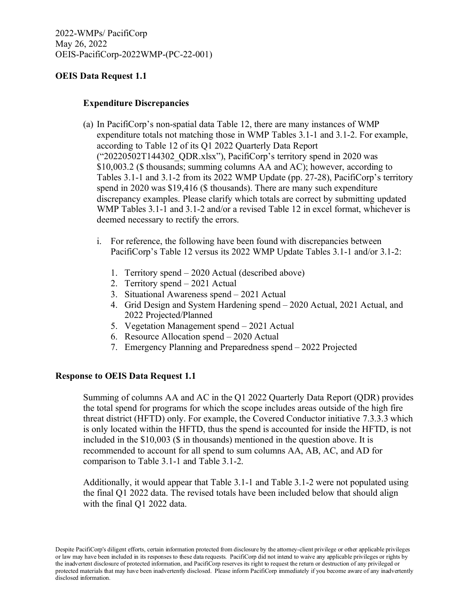## **Expenditure Discrepancies**

- (a) In PacifiCorp's non-spatial data Table 12, there are many instances of WMP expenditure totals not matching those in WMP Tables 3.1-1 and 3.1-2. For example, according to Table 12 of its Q1 2022 Quarterly Data Report ("20220502T144302\_QDR.xlsx"), PacifiCorp's territory spend in 2020 was \$10,003.2 (\$ thousands; summing columns AA and AC); however, according to Tables 3.1-1 and 3.1-2 from its 2022 WMP Update (pp. 27-28), PacifiCorp's territory spend in 2020 was \$19,416 (\$ thousands). There are many such expenditure discrepancy examples. Please clarify which totals are correct by submitting updated WMP Tables 3.1-1 and 3.1-2 and/or a revised Table 12 in excel format, whichever is deemed necessary to rectify the errors.
	- i. For reference, the following have been found with discrepancies between PacifiCorp's Table 12 versus its 2022 WMP Update Tables 3.1-1 and/or 3.1-2:
		- 1. Territory spend 2020 Actual (described above)
		- 2. Territory spend 2021 Actual
		- 3. Situational Awareness spend 2021 Actual
		- 4. Grid Design and System Hardening spend 2020 Actual, 2021 Actual, and 2022 Projected/Planned
		- 5. Vegetation Management spend 2021 Actual
		- 6. Resource Allocation spend 2020 Actual
		- 7. Emergency Planning and Preparedness spend 2022 Projected

#### **Response to OEIS Data Request 1.1**

Summing of columns AA and AC in the Q1 2022 Quarterly Data Report (QDR) provides the total spend for programs for which the scope includes areas outside of the high fire threat district (HFTD) only. For example, the Covered Conductor initiative 7.3.3.3 which is only located within the HFTD, thus the spend is accounted for inside the HFTD, is not included in the \$10,003 (\$ in thousands) mentioned in the question above. It is recommended to account for all spend to sum columns AA, AB, AC, and AD for comparison to Table 3.1-1 and Table 3.1-2.

Additionally, it would appear that Table 3.1-1 and Table 3.1-2 were not populated using the final Q1 2022 data. The revised totals have been included below that should align with the final Q1 2022 data.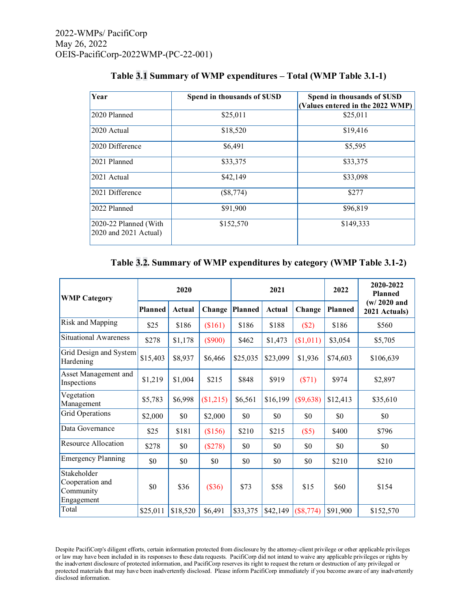| Year                                           | Spend in thousands of SUSD | Spend in thousands of SUSD       |  |  |  |
|------------------------------------------------|----------------------------|----------------------------------|--|--|--|
|                                                |                            | (Values entered in the 2022 WMP) |  |  |  |
| 2020 Planned                                   | \$25,011                   | \$25,011                         |  |  |  |
| 2020 Actual                                    | \$18,520                   | \$19,416                         |  |  |  |
| 2020 Difference                                | \$6,491                    | \$5,595                          |  |  |  |
| 2021 Planned                                   | \$33,375                   | \$33,375                         |  |  |  |
| 2021 Actual                                    | \$42,149                   | \$33,098                         |  |  |  |
| 2021 Difference                                | $(\$8,774)$                | \$277                            |  |  |  |
| 2022 Planned                                   | \$91,900                   | \$96,819                         |  |  |  |
| 2020-22 Planned (With<br>2020 and 2021 Actual) | \$152,570                  | \$149,333                        |  |  |  |

### **Table 3.1 Summary of WMP expenditures – Total (WMP Table 3.1-1)**

### **Table 3.2. Summary of WMP expenditures by category (WMP Table 3.1-2)**

| <b>WMP Category</b>                                       | 2020     |               |           | 2021     |          |             | 2022           | 2020-2022<br>Planned           |
|-----------------------------------------------------------|----------|---------------|-----------|----------|----------|-------------|----------------|--------------------------------|
|                                                           | Planned  | <b>Actual</b> | Change    | Planned  | Actual   | Change      | <b>Planned</b> | $(w/2020$ and<br>2021 Actuals) |
| Risk and Mapping                                          | \$25     | \$186         | \$161)    | \$186    | \$188    | (S2)        | \$186          | \$560                          |
| <b>Situational Awareness</b>                              | \$278    | \$1,178       | $(\$900)$ | \$462    | \$1,473  | (\$1,011)   | \$3,054        | \$5,705                        |
| Grid Design and System<br>Hardening                       | \$15,403 | \$8,937       | \$6,466   | \$25,035 | \$23,099 | \$1,936     | \$74,603       | \$106,639                      |
| Asset Management and<br>Inspections                       | \$1,219  | \$1,004       | \$215     | \$848    | \$919    | $(\$71)$    | \$974          | \$2,897                        |
| Vegetation<br>Management                                  | \$5,783  | \$6,998       | \$1,215   | \$6,561  | \$16,199 | (\$9,638)   | \$12,413       | \$35,610                       |
| Grid Operations                                           | \$2,000  | \$0           | \$2,000   | \$0      | \$0      | \$0         | \$0            | \$0                            |
| Data Governance                                           | \$25     | \$181         | \$156)    | \$210    | \$215    | (S5)        | \$400          | \$796                          |
| Resource Allocation                                       | \$278    | \$0           | (\$278)   | \$0      | \$0      | \$0         | \$0            | \$0                            |
| <b>Emergency Planning</b>                                 | \$0      | \$0           | \$0       | \$0      | \$0      | \$0         | \$210          | \$210                          |
| Stakeholder<br>Cooperation and<br>Community<br>Engagement | \$0      | \$36          | (\$36)    | \$73     | \$58     | \$15        | \$60           | \$154                          |
| Total                                                     | \$25,011 | \$18,520      | \$6,491   | \$33,375 | \$42,149 | $(\$8,774)$ | \$91,900       | \$152,570                      |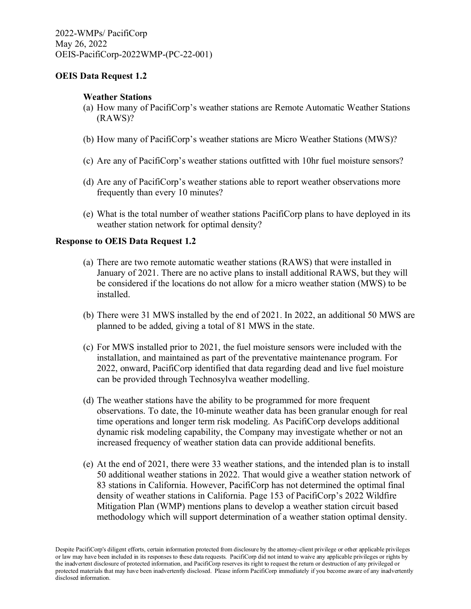#### **Weather Stations**

- (a) How many of PacifiCorp's weather stations are Remote Automatic Weather Stations (RAWS)?
- (b) How many of PacifiCorp's weather stations are Micro Weather Stations (MWS)?
- (c) Are any of PacifiCorp's weather stations outfitted with 10hr fuel moisture sensors?
- (d) Are any of PacifiCorp's weather stations able to report weather observations more frequently than every 10 minutes?
- (e) What is the total number of weather stations PacifiCorp plans to have deployed in its weather station network for optimal density?

## **Response to OEIS Data Request 1.2**

- (a) There are two remote automatic weather stations (RAWS) that were installed in January of 2021. There are no active plans to install additional RAWS, but they will be considered if the locations do not allow for a micro weather station (MWS) to be installed.
- (b) There were 31 MWS installed by the end of 2021. In 2022, an additional 50 MWS are planned to be added, giving a total of 81 MWS in the state.
- (c) For MWS installed prior to 2021, the fuel moisture sensors were included with the installation, and maintained as part of the preventative maintenance program. For 2022, onward, PacifiCorp identified that data regarding dead and live fuel moisture can be provided through Technosylva weather modelling.
- (d) The weather stations have the ability to be programmed for more frequent observations. To date, the 10-minute weather data has been granular enough for real time operations and longer term risk modeling. As PacifiCorp develops additional dynamic risk modeling capability, the Company may investigate whether or not an increased frequency of weather station data can provide additional benefits.
- (e) At the end of 2021, there were 33 weather stations, and the intended plan is to install 50 additional weather stations in 2022. That would give a weather station network of 83 stations in California. However, PacifiCorp has not determined the optimal final density of weather stations in California. Page 153 of PacifiCorp's 2022 Wildfire Mitigation Plan (WMP) mentions plans to develop a weather station circuit based methodology which will support determination of a weather station optimal density.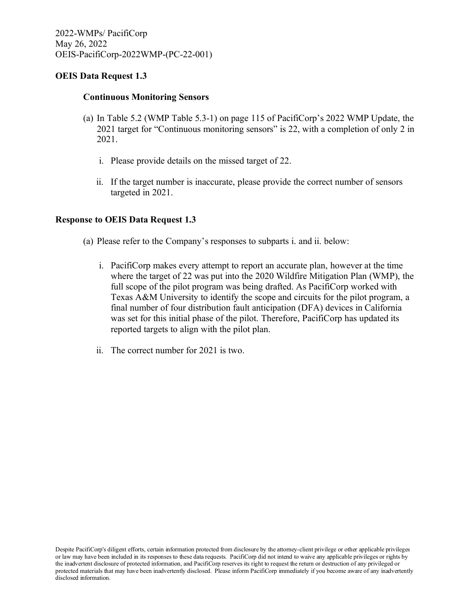#### **Continuous Monitoring Sensors**

- (a) In Table 5.2 (WMP Table 5.3-1) on page 115 of PacifiCorp's 2022 WMP Update, the 2021 target for "Continuous monitoring sensors" is 22, with a completion of only 2 in 2021.
	- i. Please provide details on the missed target of 22.
	- ii. If the target number is inaccurate, please provide the correct number of sensors targeted in 2021.

### **Response to OEIS Data Request 1.3**

- (a) Please refer to the Company's responses to subparts i. and ii. below:
	- i. PacifiCorp makes every attempt to report an accurate plan, however at the time where the target of 22 was put into the 2020 Wildfire Mitigation Plan (WMP), the full scope of the pilot program was being drafted. As PacifiCorp worked with Texas A&M University to identify the scope and circuits for the pilot program, a final number of four distribution fault anticipation (DFA) devices in California was set for this initial phase of the pilot. Therefore, PacifiCorp has updated its reported targets to align with the pilot plan.
	- ii. The correct number for 2021 is two.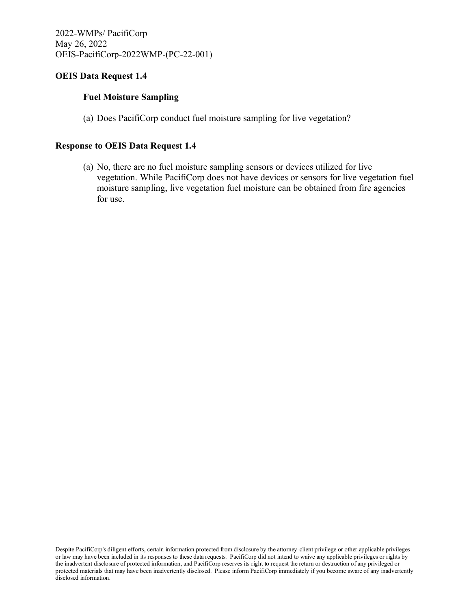## **Fuel Moisture Sampling**

(a) Does PacifiCorp conduct fuel moisture sampling for live vegetation?

## **Response to OEIS Data Request 1.4**

(a) No, there are no fuel moisture sampling sensors or devices utilized for live vegetation. While PacifiCorp does not have devices or sensors for live vegetation fuel moisture sampling, live vegetation fuel moisture can be obtained from fire agencies for use.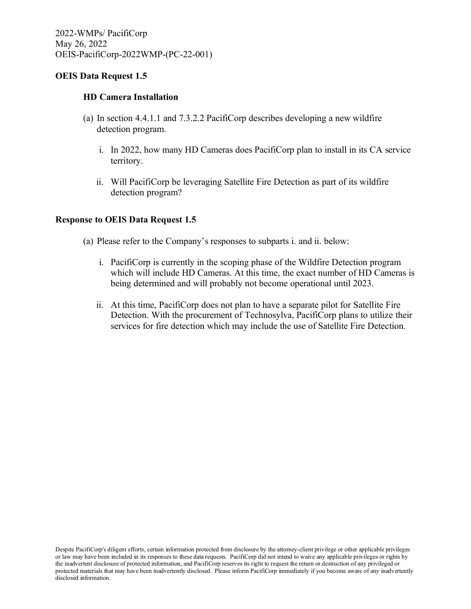## **HD Camera Installation**

- (a) In section 4.4.1.1 and 7.3.2.2 PacifiCorp describes developing a new wildfire detection program.
	- i. In 2022, how many HD Cameras does PacifiCorp plan to install in its CA service territory.
	- ii. Will PacifiCorp be leveraging Satellite Fire Detection as part of its wildfire detection program?

### **Response to OEIS Data Request 1.5**

- (a) Please refer to the Company's responses to subparts i. and ii. below:
	- i. PacifiCorp is currently in the scoping phase of the Wildfire Detection program which will include HD Cameras. At this time, the exact number of HD Cameras is being determined and will probably not become operational until 2023.
	- ii. At this time, PacifiCorp does not plan to have a separate pilot for Satellite Fire Detection. With the procurement of Technosylva, PacifiCorp plans to utilize their services for fire detection which may include the use of Satellite Fire Detection.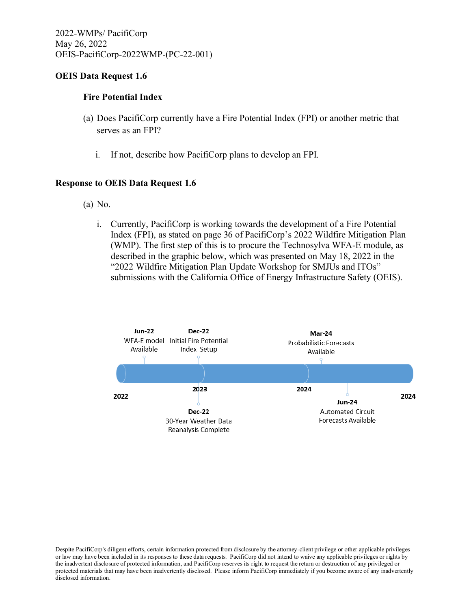#### **Fire Potential Index**

- (a) Does PacifiCorp currently have a Fire Potential Index (FPI) or another metric that serves as an FPI?
	- i. If not, describe how PacifiCorp plans to develop an FPI.

#### **Response to OEIS Data Request 1.6**

- (a) No.
	- i. Currently, PacifiCorp is working towards the development of a Fire Potential Index (FPI), as stated on page 36 of PacifiCorp's 2022 Wildfire Mitigation Plan (WMP). The first step of this is to procure the Technosylva WFA-E module, as described in the graphic below, which was presented on May 18, 2022 in the "2022 Wildfire Mitigation Plan Update Workshop for SMJUs and ITOs" submissions with the California Office of Energy Infrastructure Safety (OEIS).

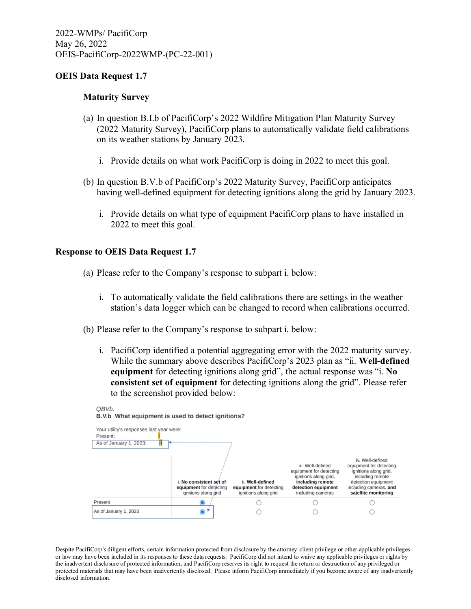#### **Maturity Survey**

- (a) In question B.I.b of PacifiCorp's 2022 Wildfire Mitigation Plan Maturity Survey (2022 Maturity Survey), PacifiCorp plans to automatically validate field calibrations on its weather stations by January 2023.
	- i. Provide details on what work PacifiCorp is doing in 2022 to meet this goal.
- (b) In question B.V.b of PacifiCorp's 2022 Maturity Survey, PacifiCorp anticipates having well-defined equipment for detecting ignitions along the grid by January 2023.
	- i. Provide details on what type of equipment PacifiCorp plans to have installed in 2022 to meet this goal.

#### **Response to OEIS Data Request 1.7**

- (a) Please refer to the Company's response to subpart i. below:
	- i. To automatically validate the field calibrations there are settings in the weather station's data logger which can be changed to record when calibrations occurred.
- (b) Please refer to the Company's response to subpart i. below:
	- i. PacifiCorp identified a potential aggregating error with the 2022 maturity survey. While the summary above describes PacifiCorp's 2023 plan as "ii. **Well-defined equipment** for detecting ignitions along grid", the actual response was "i. **No consistent set of equipment** for detecting ignitions along the grid". Please refer to the screenshot provided below:



OBVb B.V.b What equipment is used to detect ignitions?